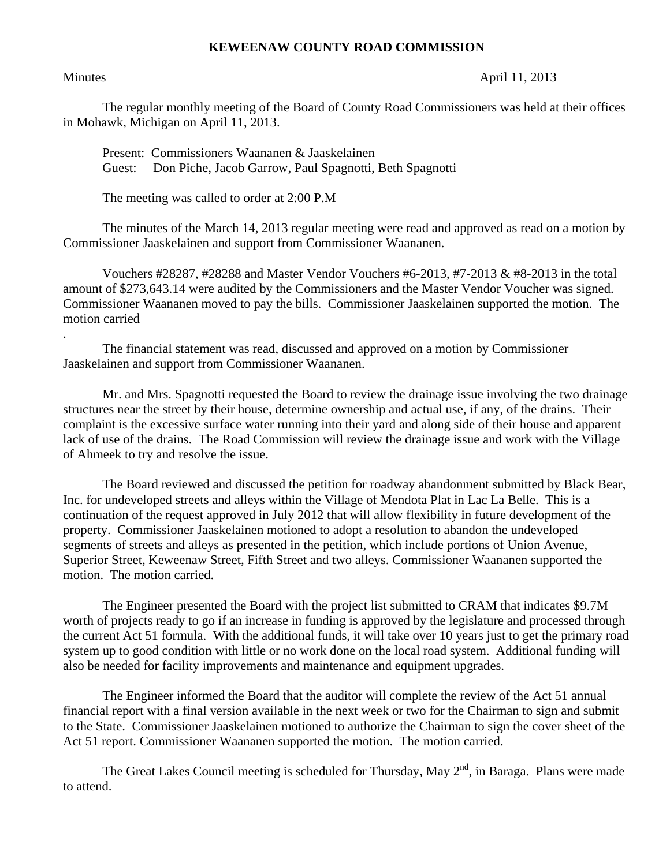## **KEWEENAW COUNTY ROAD COMMISSION**

.

## Minutes April 11, 2013

The regular monthly meeting of the Board of County Road Commissioners was held at their offices in Mohawk, Michigan on April 11, 2013.

Present: Commissioners Waananen & Jaaskelainen Guest: Don Piche, Jacob Garrow, Paul Spagnotti, Beth Spagnotti

The meeting was called to order at 2:00 P.M

 The minutes of the March 14, 2013 regular meeting were read and approved as read on a motion by Commissioner Jaaskelainen and support from Commissioner Waananen.

 Vouchers #28287, #28288 and Master Vendor Vouchers #6-2013, #7-2013 & #8-2013 in the total amount of \$273,643.14 were audited by the Commissioners and the Master Vendor Voucher was signed. Commissioner Waananen moved to pay the bills. Commissioner Jaaskelainen supported the motion. The motion carried

 The financial statement was read, discussed and approved on a motion by Commissioner Jaaskelainen and support from Commissioner Waananen.

 Mr. and Mrs. Spagnotti requested the Board to review the drainage issue involving the two drainage structures near the street by their house, determine ownership and actual use, if any, of the drains. Their complaint is the excessive surface water running into their yard and along side of their house and apparent lack of use of the drains. The Road Commission will review the drainage issue and work with the Village of Ahmeek to try and resolve the issue.

 The Board reviewed and discussed the petition for roadway abandonment submitted by Black Bear, Inc. for undeveloped streets and alleys within the Village of Mendota Plat in Lac La Belle. This is a continuation of the request approved in July 2012 that will allow flexibility in future development of the property. Commissioner Jaaskelainen motioned to adopt a resolution to abandon the undeveloped segments of streets and alleys as presented in the petition, which include portions of Union Avenue, Superior Street, Keweenaw Street, Fifth Street and two alleys. Commissioner Waananen supported the motion. The motion carried.

 The Engineer presented the Board with the project list submitted to CRAM that indicates \$9.7M worth of projects ready to go if an increase in funding is approved by the legislature and processed through the current Act 51 formula. With the additional funds, it will take over 10 years just to get the primary road system up to good condition with little or no work done on the local road system. Additional funding will also be needed for facility improvements and maintenance and equipment upgrades.

 The Engineer informed the Board that the auditor will complete the review of the Act 51 annual financial report with a final version available in the next week or two for the Chairman to sign and submit to the State. Commissioner Jaaskelainen motioned to authorize the Chairman to sign the cover sheet of the Act 51 report. Commissioner Waananen supported the motion. The motion carried.

The Great Lakes Council meeting is scheduled for Thursday, May  $2^{nd}$ , in Baraga. Plans were made to attend.